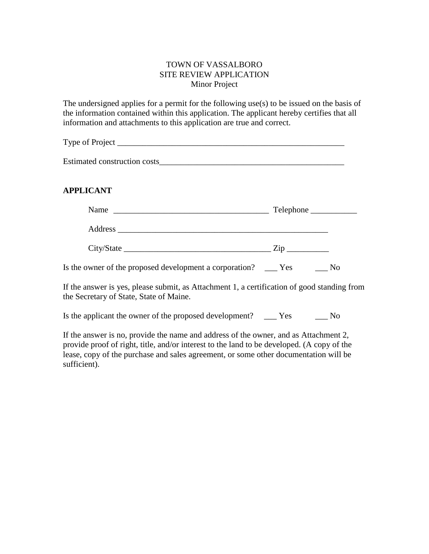## TOWN OF VASSALBORO SITE REVIEW APPLICATION Minor Project

The undersigned applies for a permit for the following use(s) to be issued on the basis of the information contained within this application. The applicant hereby certifies that all information and attachments to this application are true and correct.

Type of Project \_\_\_\_\_\_\_\_\_\_\_\_\_\_\_\_\_\_\_\_\_\_\_\_\_\_\_\_\_\_\_\_\_\_\_\_\_\_\_\_\_\_\_\_\_\_\_\_\_\_\_\_\_\_

Estimated construction costs

# **APPLICANT**

| Name<br><u> 2000 - Jan James Alexandri, martxa alexandri, martxa alexandri, martxa alexandri, martxa alexandri, martxa a</u> |                |  |
|------------------------------------------------------------------------------------------------------------------------------|----------------|--|
|                                                                                                                              |                |  |
|                                                                                                                              | $\mathsf{Zip}$ |  |
| Is the owner of the proposed development a corporation? _____ Yes                                                            | No             |  |

If the answer is yes, please submit, as Attachment 1, a certification of good standing from the Secretary of State, State of Maine.

Is the applicant the owner of the proposed development? Yes No

If the answer is no, provide the name and address of the owner, and as Attachment 2, provide proof of right, title, and/or interest to the land to be developed. (A copy of the lease, copy of the purchase and sales agreement, or some other documentation will be sufficient).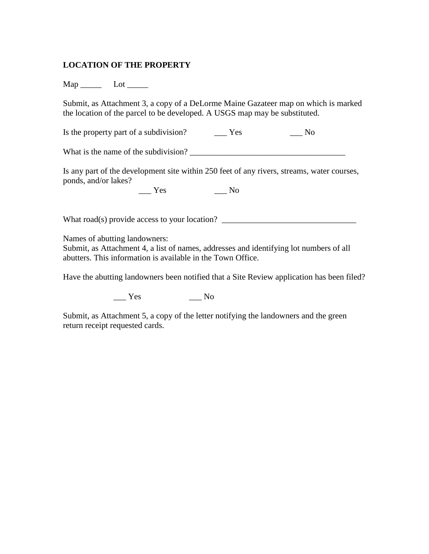### **LOCATION OF THE PROPERTY**

Map \_\_\_\_\_ Lot \_\_\_\_\_

Submit, as Attachment 3, a copy of a DeLorme Maine Gazateer map on which is marked the location of the parcel to be developed. A USGS map may be substituted.

Is the property part of a subdivision? \_\_\_\_\_ Yes \_\_\_\_\_\_ No

What is the name of the subdivision?

Is any part of the development site within 250 feet of any rivers, streams, water courses, ponds, and/or lakes?

 $\frac{1}{\sqrt{1 - \frac{1}{\sqrt{1 + \frac{1}{\sqrt{1 + \frac{1}{\sqrt{1 + \frac{1}{\sqrt{1 + \frac{1}{\sqrt{1 + \frac{1}{\sqrt{1 + \frac{1}{\sqrt{1 + \frac{1}{\sqrt{1 + \frac{1}{\sqrt{1 + \frac{1}{\sqrt{1 + \frac{1}{\sqrt{1 + \frac{1}{\sqrt{1 + \frac{1}{\sqrt{1 + \frac{1}{\sqrt{1 + \frac{1}{\sqrt{1 + \frac{1}{\sqrt{1 + \frac{1}{\sqrt{1 + \frac{1}{\sqrt{1 + \frac{1}{\sqrt{1 + \frac{1}{\sqrt{1 + \frac{1}{\sqrt{1 +$ 

What road(s) provide access to your location? \_\_\_\_\_\_\_\_\_\_\_\_\_\_\_\_\_\_\_\_\_\_\_\_\_\_\_\_\_\_\_\_\_\_

Names of abutting landowners:

Submit, as Attachment 4, a list of names, addresses and identifying lot numbers of all abutters. This information is available in the Town Office.

Have the abutting landowners been notified that a Site Review application has been filed?

\_\_\_ Yes \_\_\_ No

Submit, as Attachment 5, a copy of the letter notifying the landowners and the green return receipt requested cards.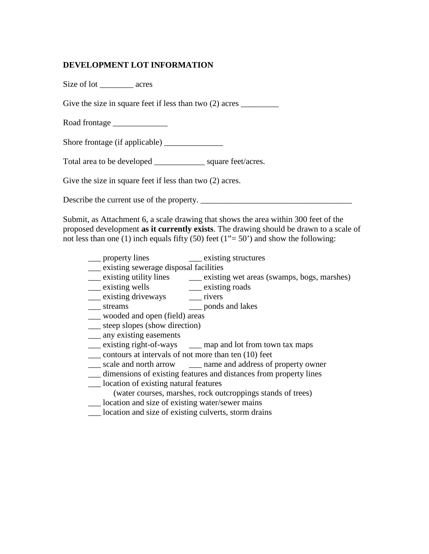## **DEVELOPMENT LOT INFORMATION**

Size of lot \_\_\_\_\_\_\_\_ acres Give the size in square feet if less than two  $(2)$  acres Road frontage \_\_\_\_\_\_\_\_\_\_\_\_\_ Shore frontage (if applicable) \_\_\_\_\_\_\_\_\_\_\_\_\_\_ Total area to be developed \_\_\_\_\_\_\_\_\_\_\_\_ square feet/acres. Give the size in square feet if less than two  $(2)$  acres.

Describe the current use of the property.

Submit, as Attachment 6, a scale drawing that shows the area within 300 feet of the proposed development **as it currently exists**. The drawing should be drawn to a scale of not less than one (1) inch equals fifty (50) feet ( $1"$  = 50') and show the following:

- \_\_\_ property lines \_\_\_ existing structures
- \_\_\_ existing sewerage disposal facilities
- \_\_\_ existing utility lines \_\_\_\_ existing wet areas (swamps, bogs, marshes) \_\_\_ existing wells
	- \_\_\_ existing roads<br>\_\_\_ rivers
- $\equiv$  existing driveways
- \_\_\_ streams \_\_\_ ponds and lakes
- \_\_\_ wooded and open (field) areas
- \_\_\_ steep slopes (show direction)
- \_\_\_ any existing easements
- \_\_\_ existing right-of-ways \_\_\_ map and lot from town tax maps
- \_\_\_ contours at intervals of not more than ten (10) feet
- \_\_\_ scale and north arrow \_\_\_ name and address of property owner
- \_\_\_ dimensions of existing features and distances from property lines
- \_\_\_ location of existing natural features
	- (water courses, marshes, rock outcroppings stands of trees)
- \_\_\_ location and size of existing water/sewer mains
- location and size of existing culverts, storm drains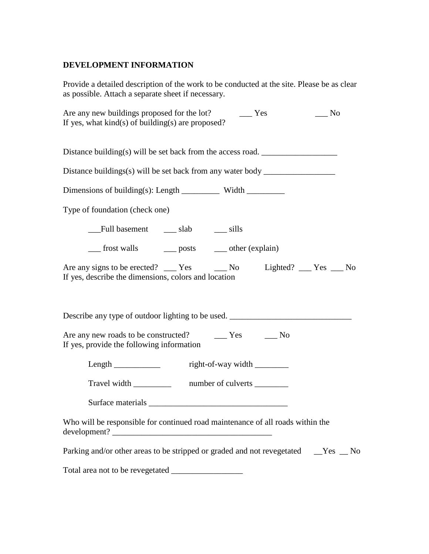# **DEVELOPMENT INFORMATION**

Provide a detailed description of the work to be conducted at the site. Please be as clear as possible. Attach a separate sheet if necessary.

| $\sqrt{N}$<br>If yes, what $kind(s)$ of building(s) are proposed?                                                            |  |  |
|------------------------------------------------------------------------------------------------------------------------------|--|--|
| Distance building(s) will be set back from the access road.                                                                  |  |  |
| Distance buildings(s) will be set back from any water body _____________________                                             |  |  |
|                                                                                                                              |  |  |
| Type of foundation (check one)                                                                                               |  |  |
|                                                                                                                              |  |  |
| ___ frost walls ____ posts ____ other (explain)                                                                              |  |  |
| Are any signs to be erected? ___ Yes ____ No Lighted? ___ Yes ___ No<br>If yes, describe the dimensions, colors and location |  |  |
| Describe any type of outdoor lighting to be used. _______________________________                                            |  |  |
| If yes, provide the following information                                                                                    |  |  |
| Length _______________ right-of-way width _________                                                                          |  |  |
| Travel width _______________ number of culverts __________                                                                   |  |  |
|                                                                                                                              |  |  |
| Who will be responsible for continued road maintenance of all roads within the                                               |  |  |
| Parking and/or other areas to be stripped or graded and not revegetated ___Yes __ No                                         |  |  |
|                                                                                                                              |  |  |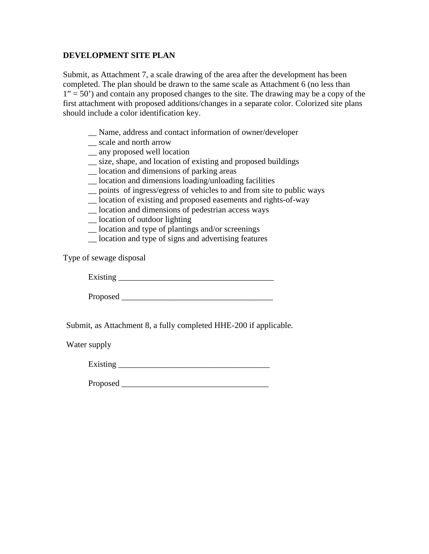### **DEVELOPMENT SITE PLAN**

Submit, as Attachment 7, a scale drawing of the area after the development has been completed. The plan should be drawn to the same scale as Attachment 6 (no less than  $1" = 50"$ ) and contain any proposed changes to the site. The drawing may be a copy of the first attachment with proposed additions/changes in a separate color. Colorized site plans should include a color identification key.

- \_\_ Name, address and contact information of owner/developer
- \_\_ scale and north arrow
- \_\_ any proposed well location
- \_\_ size, shape, and location of existing and proposed buildings
- \_\_ location and dimensions of parking areas
- \_\_ location and dimensions loading/unloading facilities
- \_\_ points of ingress/egress of vehicles to and from site to public ways
- \_\_ location of existing and proposed easements and rights-of-way
- \_\_ location and dimensions of pedestrian access ways
- \_\_ location of outdoor lighting
- \_\_ location and type of plantings and/or screenings
- \_\_ location and type of signs and advertising features

Type of sewage disposal

Existing \_\_\_\_\_\_\_\_\_\_\_\_\_\_\_\_\_\_\_\_\_\_\_\_\_\_\_\_\_\_\_\_\_\_\_\_\_

Proposed \_\_\_\_\_\_\_\_\_\_\_\_\_\_\_\_\_\_\_\_\_\_\_\_\_\_\_\_\_\_\_\_\_\_\_\_

Submit, as Attachment 8, a fully completed HHE-200 if applicable.

Water supply

Existing \_\_\_\_\_\_\_\_\_\_\_\_\_\_\_\_\_\_\_\_\_\_\_\_\_\_\_\_\_\_\_\_\_\_\_\_

Proposed  $\blacksquare$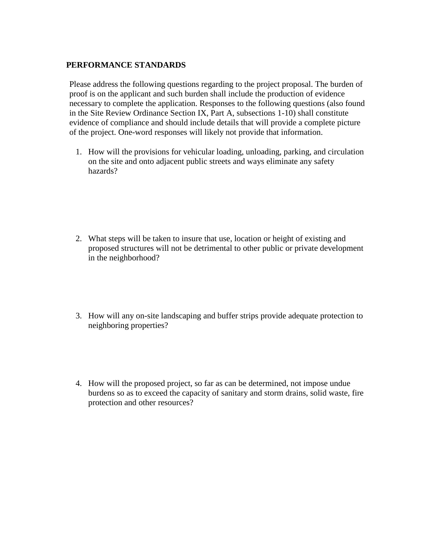### **PERFORMANCE STANDARDS**

Please address the following questions regarding to the project proposal. The burden of proof is on the applicant and such burden shall include the production of evidence necessary to complete the application. Responses to the following questions (also found in the Site Review Ordinance Section IX, Part A, subsections 1-10) shall constitute evidence of compliance and should include details that will provide a complete picture of the project. One-word responses will likely not provide that information.

1. How will the provisions for vehicular loading, unloading, parking, and circulation on the site and onto adjacent public streets and ways eliminate any safety hazards?

- 2. What steps will be taken to insure that use, location or height of existing and proposed structures will not be detrimental to other public or private development in the neighborhood?
- 3. How will any on-site landscaping and buffer strips provide adequate protection to neighboring properties?
- 4. How will the proposed project, so far as can be determined, not impose undue burdens so as to exceed the capacity of sanitary and storm drains, solid waste, fire protection and other resources?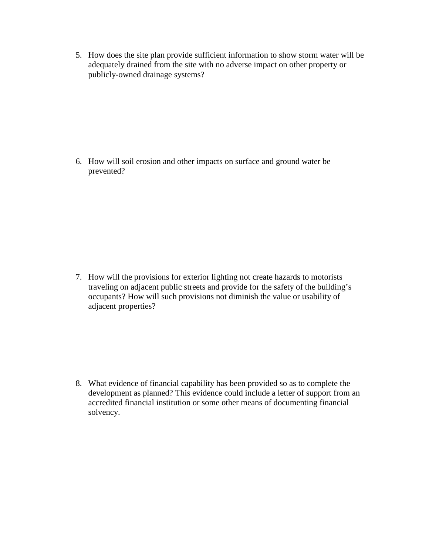5. How does the site plan provide sufficient information to show storm water will be adequately drained from the site with no adverse impact on other property or publicly-owned drainage systems?

6. How will soil erosion and other impacts on surface and ground water be prevented?

7. How will the provisions for exterior lighting not create hazards to motorists traveling on adjacent public streets and provide for the safety of the building's occupants? How will such provisions not diminish the value or usability of adjacent properties?

8. What evidence of financial capability has been provided so as to complete the development as planned? This evidence could include a letter of support from an accredited financial institution or some other means of documenting financial solvency.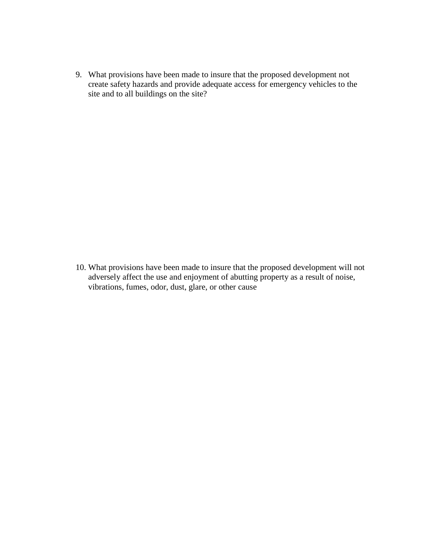9. What provisions have been made to insure that the proposed development not create safety hazards and provide adequate access for emergency vehicles to the site and to all buildings on the site?

10. What provisions have been made to insure that the proposed development will not adversely affect the use and enjoyment of abutting property as a result of noise, vibrations, fumes, odor, dust, glare, or other cause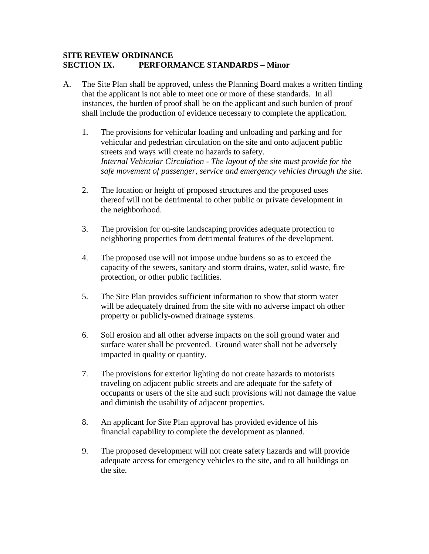### **SITE REVIEW ORDINANCE SECTION IX. PERFORMANCE STANDARDS – Minor**

- A. The Site Plan shall be approved, unless the Planning Board makes a written finding that the applicant is not able to meet one or more of these standards. In all instances, the burden of proof shall be on the applicant and such burden of proof shall include the production of evidence necessary to complete the application.
	- 1. The provisions for vehicular loading and unloading and parking and for vehicular and pedestrian circulation on the site and onto adjacent public streets and ways will create no hazards to safety. *Internal Vehicular Circulation - The layout of the site must provide for the safe movement of passenger, service and emergency vehicles through the site.*
	- 2. The location or height of proposed structures and the proposed uses thereof will not be detrimental to other public or private development in the neighborhood.
	- 3. The provision for on-site landscaping provides adequate protection to neighboring properties from detrimental features of the development.
	- 4. The proposed use will not impose undue burdens so as to exceed the capacity of the sewers, sanitary and storm drains, water, solid waste, fire protection, or other public facilities.
	- 5. The Site Plan provides sufficient information to show that storm water will be adequately drained from the site with no adverse impact oh other property or publicly-owned drainage systems.
	- 6. Soil erosion and all other adverse impacts on the soil ground water and surface water shall be prevented. Ground water shall not be adversely impacted in quality or quantity.
	- 7. The provisions for exterior lighting do not create hazards to motorists traveling on adjacent public streets and are adequate for the safety of occupants or users of the site and such provisions will not damage the value and diminish the usability of adjacent properties.
	- 8. An applicant for Site Plan approval has provided evidence of his financial capability to complete the development as planned.
	- 9. The proposed development will not create safety hazards and will provide adequate access for emergency vehicles to the site, and to all buildings on the site.